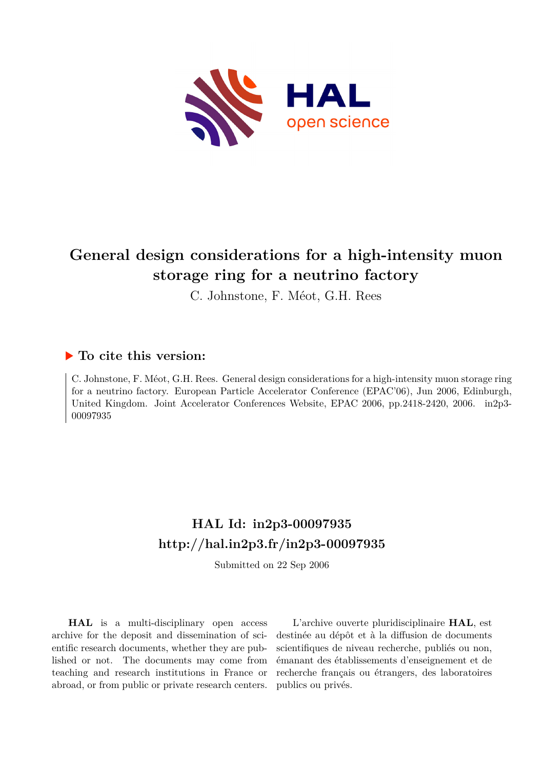

# **General design considerations for a high-intensity muon storage ring for a neutrino factory**

C. Johnstone, F. Méot, G.H. Rees

## **To cite this version:**

C. Johnstone, F. Méot, G.H. Rees. General design considerations for a high-intensity muon storage ring for a neutrino factory. European Particle Accelerator Conference (EPAC'06), Jun 2006, Edinburgh, United Kingdom. Joint Accelerator Conferences Website, EPAC 2006, pp.2418-2420, 2006. in2p3-00097935ff

## **HAL Id: in2p3-00097935 <http://hal.in2p3.fr/in2p3-00097935>**

Submitted on 22 Sep 2006

**HAL** is a multi-disciplinary open access archive for the deposit and dissemination of scientific research documents, whether they are published or not. The documents may come from teaching and research institutions in France or abroad, or from public or private research centers.

L'archive ouverte pluridisciplinaire **HAL**, est destinée au dépôt et à la diffusion de documents scientifiques de niveau recherche, publiés ou non, émanant des établissements d'enseignement et de recherche français ou étrangers, des laboratoires publics ou privés.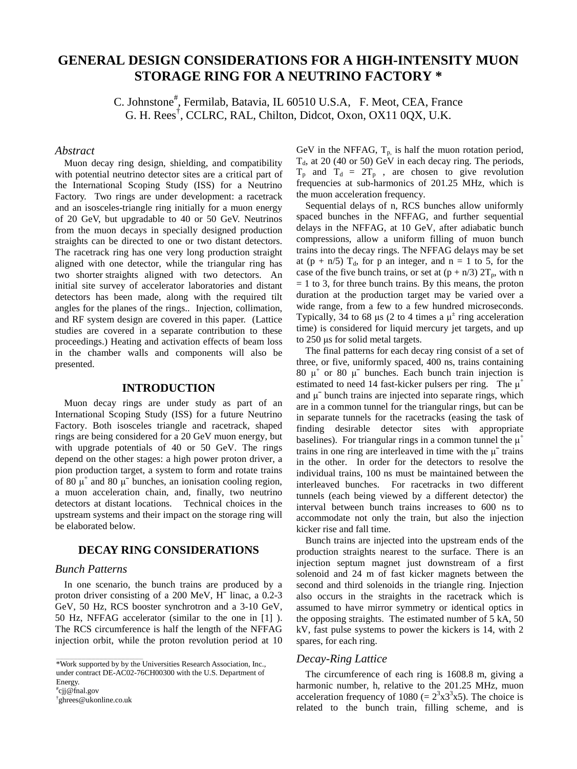### **GENERAL DESIGN CONSIDERATIONS FOR A HIGH-INTENSITY MUON STORAGE RING FOR A NEUTRINO FACTORY \***

C. Johnstone<sup>#</sup>, Fermilab, Batavia, IL 60510 U.S.A, F. Meot, CEA, France G. H. Rees† , CCLRC, RAL, Chilton, Didcot, Oxon, OX11 0QX, U.K.

#### *Abstract*

Muon decay ring design, shielding, and compatibility with potential neutrino detector sites are a critical part of the International Scoping Study (ISS) for a Neutrino Factory. Two rings are under development: a racetrack and an isosceles-triangle ring initially for a muon energy of 20 GeV, but upgradable to 40 or 50 GeV. Neutrinos from the muon decays in specially designed production straights can be directed to one or two distant detectors. The racetrack ring has one very long production straight aligned with one detector, while the triangular ring has two shorter straights aligned with two detectors. An initial site survey of accelerator laboratories and distant detectors has been made, along with the required tilt angles for the planes of the rings.. Injection, collimation, and RF system design are covered in this paper. (Lattice studies are covered in a separate contribution to these proceedings.) Heating and activation effects of beam loss in the chamber walls and components will also be presented.

#### **INTRODUCTION**

Muon decay rings are under study as part of an International Scoping Study (ISS) for a future Neutrino Factory. Both isosceles triangle and racetrack, shaped rings are being considered for a 20 GeV muon energy, but with upgrade potentials of 40 or 50 GeV. The rings depend on the other stages: a high power proton driver, a pion production target, a system to form and rotate trains of 80  $\mu^+$  and 80  $\mu^-$  bunches, an ionisation cooling region, a muon acceleration chain, and, finally, two neutrino detectors at distant locations. Technical choices in the upstream systems and their impact on the storage ring will be elaborated below.

### **DECAY RING CONSIDERATIONS**

#### *Bunch Patterns*

In one scenario, the bunch trains are produced by a proton driver consisting of a 200 MeV, H¯ linac, a 0.2-3 GeV, 50 Hz, RCS booster synchrotron and a 3-10 GeV, 50 Hz, NFFAG accelerator (similar to the one in [1] ). The RCS circumference is half the length of the NFFAG injection orbit, while the proton revolution period at 10

# cjj@fnal.gov

† ghrees@ukonline.co.uk

\_\_\_\_\_\_\_\_\_\_\_\_\_\_\_\_\_\_\_\_\_\_\_\_\_\_\_\_\_\_\_\_\_\_\_\_\_\_\_\_\_\_\_\_

GeV in the NFFAG,  $T_p$  is half the muon rotation period,  $T<sub>d</sub>$ , at 20 (40 or 50) GeV in each decay ring. The periods,  $T_p$  and  $T_d = 2T_p$ , are chosen to give revolution frequencies at sub-harmonics of 201.25 MHz, which is the muon acceleration frequency.

Sequential delays of n, RCS bunches allow uniformly spaced bunches in the NFFAG, and further sequential delays in the NFFAG, at 10 GeV, after adiabatic bunch compressions, allow a uniform filling of muon bunch trains into the decay rings. The NFFAG delays may be set at (p + n/5)  $T_d$ , for p an integer, and n = 1 to 5, for the case of the five bunch trains, or set at  $(p + n/3) 2T_p$ , with n  $= 1$  to 3, for three bunch trains. By this means, the proton duration at the production target may be varied over a wide range, from a few to a few hundred microseconds. Typically, 34 to 68  $\mu$ s (2 to 4 times a  $\mu^{\pm}$  ring acceleration time) is considered for liquid mercury jet targets, and up to 250 μs for solid metal targets.

The final patterns for each decay ring consist of a set of three, or five, uniformly spaced, 400 ns, trains containing 80  $\mu^+$  or 80  $\mu^-$  bunches. Each bunch train injection is estimated to need 14 fast-kicker pulsers per ring. The  $\mu^+$ and  $\mu$ <sup>-</sup> bunch trains are injected into separate rings, which are in a common tunnel for the triangular rings, but can be in separate tunnels for the racetracks (easing the task of finding desirable detector sites with appropriate baselines). For triangular rings in a common tunnel the  $\mu^+$ trains in one ring are interleaved in time with the  $\mu$ <sup>-</sup> trains in the other. In order for the detectors to resolve the individual trains, 100 ns must be maintained between the interleaved bunches. For racetracks in two different tunnels (each being viewed by a different detector) the interval between bunch trains increases to 600 ns to accommodate not only the train, but also the injection kicker rise and fall time.

Bunch trains are injected into the upstream ends of the production straights nearest to the surface. There is an injection septum magnet just downstream of a first solenoid and 24 m of fast kicker magnets between the second and third solenoids in the triangle ring. Injection also occurs in the straights in the racetrack which is assumed to have mirror symmetry or identical optics in the opposing straights. The estimated number of 5 kA, 50 kV, fast pulse systems to power the kickers is 14, with 2 spares, for each ring.

#### *Decay-Ring Lattice*

The circumference of each ring is 1608.8 m, giving a harmonic number, h, relative to the 201.25 MHz, muon acceleration frequency of 1080 (=  $2<sup>3</sup>x3<sup>3</sup>x5$ ). The choice is related to the bunch train, filling scheme, and is

<sup>\*</sup>Work supported by by the Universities Research Association, Inc., under contract DE-AC02-76CH00300 with the U.S. Department of Energy.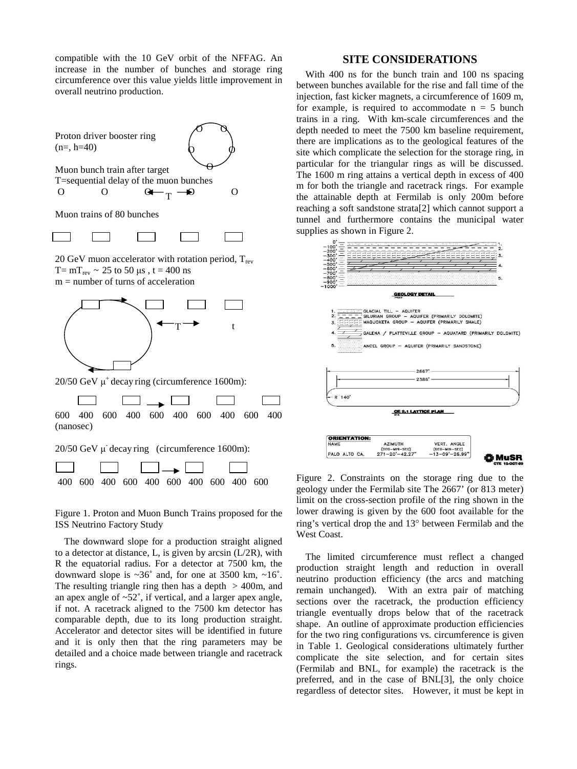compatible with the 10 GeV orbit of the NFFAG. An increase in the number of bunches and storage ring circumference over this value yields little improvement in overall neutrino production.

Proton driver booster ring  $(n=, h=40)$ 





Muon trains of 80 bunches

20 GeV muon accelerator with rotation period,  $T_{rev}$  $T = mT_{rev} \sim 25$  to 50 μs,  $t = 400$  ns m = number of turns of acceleration



20/50 GeV  $\mu^+$  decay ring (circumference 1600m):

600 400 600 400 600 400 600 400 600 400 (nanosec) 20/50 GeV μ- decay ring (circumference 1600m):

Figure 1. Proton and Muon Bunch Trains proposed for the ISS Neutrino Factory Study

400 600 400 600 400 600 400 600 400 600

The downward slope for a production straight aligned to a detector at distance, L, is given by arcsin (L/2R), with R the equatorial radius. For a detector at 7500 km, the downward slope is  $\sim 36^\circ$  and, for one at 3500 km,  $\sim 16^\circ$ . The resulting triangle ring then has a depth  $> 400$ m, and an apex angle of ~52˚, if vertical, and a larger apex angle, if not. A racetrack aligned to the 7500 km detector has comparable depth, due to its long production straight. Accelerator and detector sites will be identified in future and it is only then that the ring parameters may be detailed and a choice made between triangle and racetrack rings.

#### **SITE CONSIDERATIONS**

With 400 ns for the bunch train and 100 ns spacing between bunches available for the rise and fall time of the injection, fast kicker magnets, a circumference of 1609 m, for example, is required to accommodate  $n = 5$  bunch trains in a ring. With km-scale circumferences and the depth needed to meet the 7500 km baseline requirement, there are implications as to the geological features of the site which complicate the selection for the storage ring, in particular for the triangular rings as will be discussed. The 1600 m ring attains a vertical depth in excess of 400 m for both the triangle and racetrack rings. For example the attainable depth at Fermilab is only 200m before reaching a soft sandstone strata[2] which cannot support a tunnel and furthermore contains the municipal water



Figure 2. Constraints on the storage ring due to the geology under the Fermilab site The 2667' (or 813 meter) limit on the cross-section profile of the ring shown in the lower drawing is given by the 600 foot available for the ring's vertical drop the and 13° between Fermilab and the West Coast.

The limited circumference must reflect a changed production straight length and reduction in overall neutrino production efficiency (the arcs and matching remain unchanged). With an extra pair of matching sections over the racetrack, the production efficiency triangle eventually drops below that of the racetrack shape. An outline of approximate production efficiencies for the two ring configurations vs. circumference is given in Table 1. Geological considerations ultimately further complicate the site selection, and for certain sites (Fermilab and BNL, for example) the racetrack is the preferred, and in the case of BNL[3], the only choice regardless of detector sites. However, it must be kept in